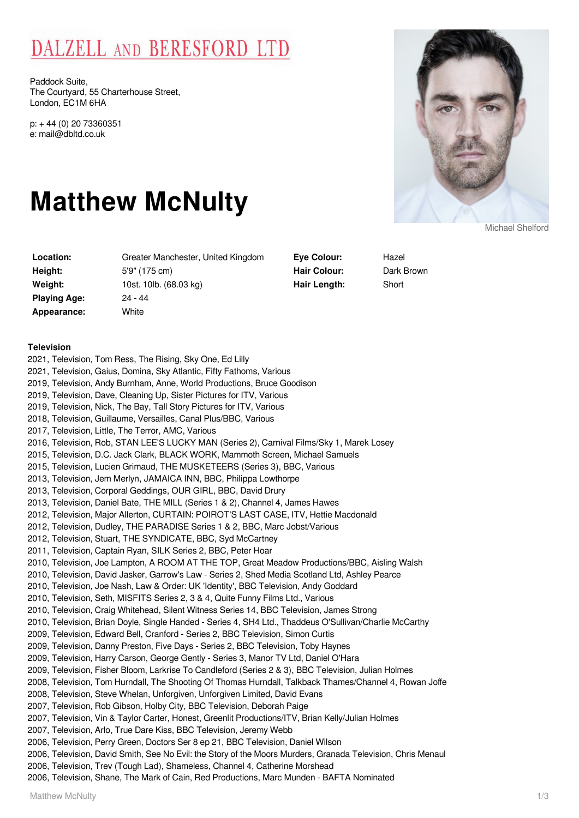# DALZELL AND BERESFORD LTD

Paddock Suite, The Courtyard, 55 Charterhouse Street, London, EC1M 6HA

p: + 44 (0) 20 73360351 e: mail@dbltd.co.uk

# **Matthew McNulty**

| Location:    | Greater Manchester, United Kingdom |
|--------------|------------------------------------|
| Height:      | 5'9" (175 cm)                      |
| Weight:      | 10st. 10lb. (68.03 kg)             |
| Playing Age: | 24 - 44                            |
| Appearance:  | White                              |
|              |                                    |

**Eye Colour:** Hazel Hair Colour: Dark Brown **Hair Length:** Short

## **Television**

2021, Television, Tom Ress, The Rising, Sky One, Ed Lilly 2021, Television, Gaius, Domina, Sky Atlantic, Fifty Fathoms, Various 2019, Television, Andy Burnham, Anne, World Productions, Bruce Goodison 2019, Television, Dave, Cleaning Up, Sister Pictures for ITV, Various 2019, Television, Nick, The Bay, Tall Story Pictures for ITV, Various 2018, Television, Guillaume, Versailles, Canal Plus/BBC, Various 2017, Television, Little, The Terror, AMC, Various 2016, Television, Rob, STAN LEE'S LUCKY MAN (Series 2), Carnival Films/Sky 1, Marek Losey 2015, Television, D.C. Jack Clark, BLACK WORK, Mammoth Screen, Michael Samuels 2015, Television, Lucien Grimaud, THE MUSKETEERS (Series 3), BBC, Various 2013, Television, Jem Merlyn, JAMAICA INN, BBC, Philippa Lowthorpe 2013, Television, Corporal Geddings, OUR GIRL, BBC, David Drury 2013, Television, Daniel Bate, THE MILL (Series 1 & 2), Channel 4, James Hawes 2012, Television, Major Allerton, CURTAIN: POIROT'S LAST CASE, ITV, Hettie Macdonald 2012, Television, Dudley, THE PARADISE Series 1 & 2, BBC, Marc Jobst/Various 2012, Television, Stuart, THE SYNDICATE, BBC, Syd McCartney 2011, Television, Captain Ryan, SILK Series 2, BBC, Peter Hoar 2010, Television, Joe Lampton, A ROOM AT THE TOP, Great Meadow Productions/BBC, Aisling Walsh 2010, Television, David Jasker, Garrow's Law - Series 2, Shed Media Scotland Ltd, Ashley Pearce 2010, Television, Joe Nash, Law & Order: UK 'Identity', BBC Television, Andy Goddard 2010, Television, Seth, MISFITS Series 2, 3 & 4, Quite Funny Films Ltd., Various 2010, Television, Craig Whitehead, Silent Witness Series 14, BBC Television, James Strong 2010, Television, Brian Doyle, Single Handed - Series 4, SH4 Ltd., Thaddeus O'Sullivan/Charlie McCarthy 2009, Television, Edward Bell, Cranford - Series 2, BBC Television, Simon Curtis 2009, Television, Danny Preston, Five Days - Series 2, BBC Television, Toby Haynes 2009, Television, Harry Carson, George Gently - Series 3, Manor TV Ltd, Daniel O'Hara 2009, Television, Fisher Bloom, Larkrise To Candleford (Series 2 & 3), BBC Television, Julian Holmes 2008, Television, Tom Hurndall, The Shooting Of Thomas Hurndall, Talkback Thames/Channel 4, Rowan Joffe 2008, Television, Steve Whelan, Unforgiven, Unforgiven Limited, David Evans 2007, Television, Rob Gibson, Holby City, BBC Television, Deborah Paige 2007, Television, Vin & Taylor Carter, Honest, Greenlit Productions/ITV, Brian Kelly/Julian Holmes 2007, Television, Arlo, True Dare Kiss, BBC Television, Jeremy Webb 2006, Television, Perry Green, Doctors Ser 8 ep 21, BBC Television, Daniel Wilson 2006, Television, David Smith, See No Evil: the Story of the Moors Murders, Granada Television, Chris Menaul 2006, Television, Trev (Tough Lad), Shameless, Channel 4, Catherine Morshead 2006, Television, Shane, The Mark of Cain, Red Productions, Marc Munden - BAFTA Nominated

Michael Shelford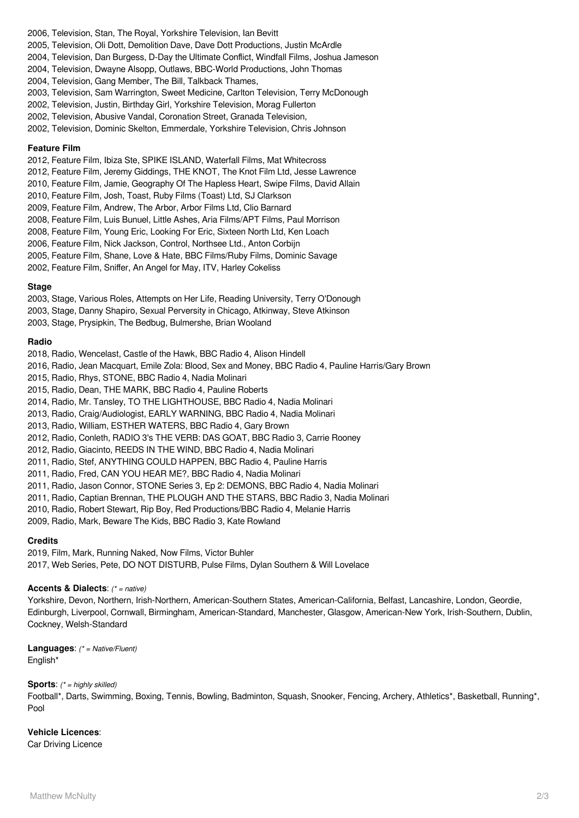- 2006, Television, Stan, The Royal, Yorkshire Television, Ian Bevitt
- 2005, Television, Oli Dott, Demolition Dave, Dave Dott Productions, Justin McArdle
- 2004, Television, Dan Burgess, D-Day the Ultimate Conflict, Windfall Films, Joshua Jameson
- 2004, Television, Dwayne Alsopp, Outlaws, BBC-World Productions, John Thomas
- 2004, Television, Gang Member, The Bill, Talkback Thames,
- 2003, Television, Sam Warrington, Sweet Medicine, Carlton Television, Terry McDonough
- 2002, Television, Justin, Birthday Girl, Yorkshire Television, Morag Fullerton
- 2002, Television, Abusive Vandal, Coronation Street, Granada Television,
- 2002, Television, Dominic Skelton, Emmerdale, Yorkshire Television, Chris Johnson

#### **Feature Film**

- 2012, Feature Film, Ibiza Ste, SPIKE ISLAND, Waterfall Films, Mat Whitecross
- 2012, Feature Film, Jeremy Giddings, THE KNOT, The Knot Film Ltd, Jesse Lawrence
- 2010, Feature Film, Jamie, Geography Of The Hapless Heart, Swipe Films, David Allain
- 2010, Feature Film, Josh, Toast, Ruby Films (Toast) Ltd, SJ Clarkson
- 2009, Feature Film, Andrew, The Arbor, Arbor Films Ltd, Clio Barnard
- 2008, Feature Film, Luis Bunuel, Little Ashes, Aria Films/APT Films, Paul Morrison
- 2008, Feature Film, Young Eric, Looking For Eric, Sixteen North Ltd, Ken Loach
- 2006, Feature Film, Nick Jackson, Control, Northsee Ltd., Anton Corbijn
- 2005, Feature Film, Shane, Love & Hate, BBC Films/Ruby Films, Dominic Savage
- 2002, Feature Film, Sniffer, An Angel for May, ITV, Harley Cokeliss

#### **Stage**

- 2003, Stage, Various Roles, Attempts on Her Life, Reading University, Terry O'Donough
- 2003, Stage, Danny Shapiro, Sexual Perversity in Chicago, Atkinway, Steve Atkinson
- 2003, Stage, Prysipkin, The Bedbug, Bulmershe, Brian Wooland

### **Radio**

- 2018, Radio, Wencelast, Castle of the Hawk, BBC Radio 4, Alison Hindell
- 2016, Radio, Jean Macquart, Emile Zola: Blood, Sex and Money, BBC Radio 4, Pauline Harris/Gary Brown
- 2015, Radio, Rhys, STONE, BBC Radio 4, Nadia Molinari
- 2015, Radio, Dean, THE MARK, BBC Radio 4, Pauline Roberts
- 2014, Radio, Mr. Tansley, TO THE LIGHTHOUSE, BBC Radio 4, Nadia Molinari
- 2013, Radio, Craig/Audiologist, EARLY WARNING, BBC Radio 4, Nadia Molinari
- 2013, Radio, William, ESTHER WATERS, BBC Radio 4, Gary Brown
- 2012, Radio, Conleth, RADIO 3's THE VERB: DAS GOAT, BBC Radio 3, Carrie Rooney
- 2012, Radio, Giacinto, REEDS IN THE WIND, BBC Radio 4, Nadia Molinari
- 2011, Radio, Stef, ANYTHING COULD HAPPEN, BBC Radio 4, Pauline Harris
- 2011, Radio, Fred, CAN YOU HEAR ME?, BBC Radio 4, Nadia Molinari
- 2011, Radio, Jason Connor, STONE Series 3, Ep 2: DEMONS, BBC Radio 4, Nadia Molinari
- 2011, Radio, Captian Brennan, THE PLOUGH AND THE STARS, BBC Radio 3, Nadia Molinari
- 2010, Radio, Robert Stewart, Rip Boy, Red Productions/BBC Radio 4, Melanie Harris
- 2009, Radio, Mark, Beware The Kids, BBC Radio 3, Kate Rowland

### **Credits**

2019, Film, Mark, Running Naked, Now Films, Victor Buhler 2017, Web Series, Pete, DO NOT DISTURB, Pulse Films, Dylan Southern & Will Lovelace

### **Accents & Dialects**: (\* = native)

Yorkshire, Devon, Northern, Irish-Northern, American-Southern States, American-California, Belfast, Lancashire, London, Geordie, Edinburgh, Liverpool, Cornwall, Birmingham, American-Standard, Manchester, Glasgow, American-New York, Irish-Southern, Dublin, Cockney, Welsh-Standard

**Languages**: (\* = Native/Fluent) English\*

### **Sports:** (\* = highly skilled)

Football\*, Darts, Swimming, Boxing, Tennis, Bowling, Badminton, Squash, Snooker, Fencing, Archery, Athletics\*, Basketball, Running\*, Pool

### **Vehicle Licences**:

Car Driving Licence